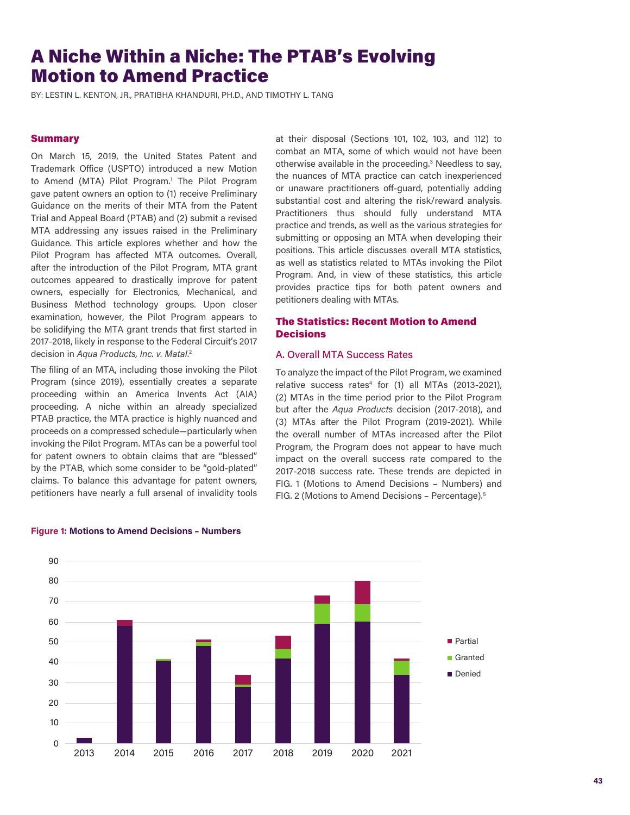## A Niche Within a Niche: The PTAB's Evolving Motion to Amend Practice

BY: LESTIN L. KENTON, JR., PRATIBHA KHANDURI, PH.D., AND TIMOTHY L. TANG

### **Summary**

On March 15, 2019, the United States Patent and Trademark Office (USPTO) introduced a new Motion to Amend (MTA) Pilot Program.<sup>1</sup> The Pilot Program gave patent owners an option to (1) receive Preliminary Guidance on the merits of their MTA from the Patent Trial and Appeal Board (PTAB) and (2) submit a revised MTA addressing any issues raised in the Preliminary Guidance. This article explores whether and how the Pilot Program has affected MTA outcomes. Overall, after the introduction of the Pilot Program, MTA grant outcomes appeared to drastically improve for patent owners, especially for Electronics, Mechanical, and Business Method technology groups. Upon closer examination, however, the Pilot Program appears to be solidifying the MTA grant trends that first started in 2017-2018, likely in response to the Federal Circuit's 2017 decision in *Aqua Products, Inc. v. Matal*. 2

The filing of an MTA, including those invoking the Pilot Program (since 2019), essentially creates a separate proceeding within an America Invents Act (AIA) proceeding. A niche within an already specialized PTAB practice, the MTA practice is highly nuanced and proceeds on a compressed schedule—particularly when invoking the Pilot Program. MTAs can be a powerful tool for patent owners to obtain claims that are "blessed" by the PTAB, which some consider to be "gold-plated" claims. To balance this advantage for patent owners, petitioners have nearly a full arsenal of invalidity tools at their disposal (Sections 101, 102, 103, and 112) to combat an MTA, some of which would not have been otherwise available in the proceeding.<sup>3</sup> Needless to say, the nuances of MTA practice can catch inexperienced or unaware practitioners off-guard, potentially adding substantial cost and altering the risk/reward analysis. Practitioners thus should fully understand MTA practice and trends, as well as the various strategies for submitting or opposing an MTA when developing their positions. This article discusses overall MTA statistics, as well as statistics related to MTAs invoking the Pilot Program. And, in view of these statistics, this article provides practice tips for both patent owners and petitioners dealing with MTAs.

### The Statistics: Recent Motion to Amend **Decisions**

### A. Overall MTA Success Rates

To analyze the impact of the Pilot Program, we examined relative success rates<sup>4</sup> for (1) all MTAs (2013-2021), (2) MTAs in the time period prior to the Pilot Program but after the *Aqua Products* decision (2017-2018), and (3) MTAs after the Pilot Program (2019-2021). While the overall number of MTAs increased after the Pilot Program, the Program does not appear to have much impact on the overall success rate compared to the 2017-2018 success rate. These trends are depicted in FIG. 1 (Motions to Amend Decisions – Numbers) and FIG. 2 (Motions to Amend Decisions – Percentage).5



# **Figure 1: Motions to Amend Decisions – Numbers Motions to Amend Decisions – Numbers**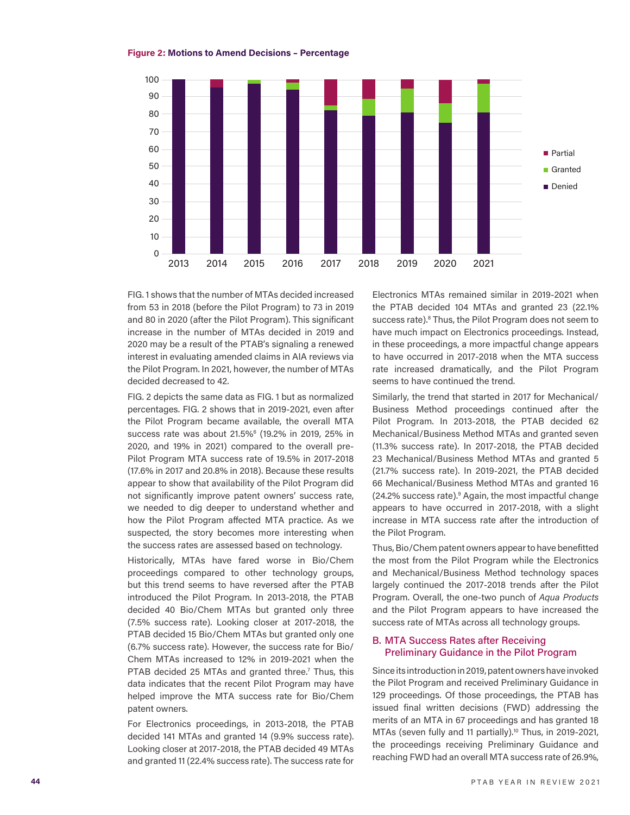### **Figure 2: Motions to Amend Decisions – Percentage Motions to Amend Decisions – Percentage**



FIG. 1 shows that the number of MTAs decided increased from 53 in 2018 (before the Pilot Program) to 73 in 2019 and 80 in 2020 (after the Pilot Program). This significant increase in the number of MTAs decided in 2019 and 2020 may be a result of the PTAB's signaling a renewed interest in evaluating amended claims in AIA reviews via the Pilot Program. In 2021, however, the number of MTAs decided decreased to 42.

FIG. 2 depicts the same data as FIG. 1 but as normalized percentages. FIG. 2 shows that in 2019-2021, even after the Pilot Program became available, the overall MTA success rate was about 21.5%<sup>6</sup> (19.2% in 2019, 25% in 2020, and 19% in 2021) compared to the overall pre-Pilot Program MTA success rate of 19.5% in 2017-2018 (17.6% in 2017 and 20.8% in 2018). Because these results appear to show that availability of the Pilot Program did not significantly improve patent owners' success rate, we needed to dig deeper to understand whether and how the Pilot Program affected MTA practice. As we suspected, the story becomes more interesting when the success rates are assessed based on technology.

Historically, MTAs have fared worse in Bio/Chem proceedings compared to other technology groups, but this trend seems to have reversed after the PTAB introduced the Pilot Program. In 2013-2018, the PTAB decided 40 Bio/Chem MTAs but granted only three (7.5% success rate). Looking closer at 2017-2018, the PTAB decided 15 Bio/Chem MTAs but granted only one (6.7% success rate). However, the success rate for Bio/ Chem MTAs increased to 12% in 2019-2021 when the PTAB decided 25 MTAs and granted three.<sup>7</sup> Thus, this data indicates that the recent Pilot Program may have helped improve the MTA success rate for Bio/Chem patent owners.

For Electronics proceedings, in 2013-2018, the PTAB decided 141 MTAs and granted 14 (9.9% success rate). Looking closer at 2017-2018, the PTAB decided 49 MTAs and granted 11 (22.4% success rate). The success rate for Electronics MTAs remained similar in 2019-2021 when the PTAB decided 104 MTAs and granted 23 (22.1% success rate).<sup>8</sup> Thus, the Pilot Program does not seem to have much impact on Electronics proceedings. Instead, in these proceedings, a more impactful change appears to have occurred in 2017-2018 when the MTA success rate increased dramatically, and the Pilot Program seems to have continued the trend.

Similarly, the trend that started in 2017 for Mechanical/ Business Method proceedings continued after the Pilot Program. In 2013-2018, the PTAB decided 62 Mechanical/Business Method MTAs and granted seven (11.3% success rate). In 2017-2018, the PTAB decided 23 Mechanical/Business Method MTAs and granted 5 (21.7% success rate). In 2019-2021, the PTAB decided 66 Mechanical/Business Method MTAs and granted 16 (24.2% success rate).<sup>9</sup> Again, the most impactful change appears to have occurred in 2017-2018, with a slight increase in MTA success rate after the introduction of the Pilot Program.

Thus, Bio/Chem patent owners appear to have benefitted the most from the Pilot Program while the Electronics and Mechanical/Business Method technology spaces largely continued the 2017-2018 trends after the Pilot Program. Overall, the one-two punch of *Aqua Products*  and the Pilot Program appears to have increased the success rate of MTAs across all technology groups.

### B. MTA Success Rates after Receiving Preliminary Guidance in the Pilot Program

Since its introduction in 2019, patent owners have invoked the Pilot Program and received Preliminary Guidance in 129 proceedings. Of those proceedings, the PTAB has issued final written decisions (FWD) addressing the merits of an MTA in 67 proceedings and has granted 18 MTAs (seven fully and 11 partially).<sup>10</sup> Thus, in 2019-2021, the proceedings receiving Preliminary Guidance and reaching FWD had an overall MTA success rate of 26.9%,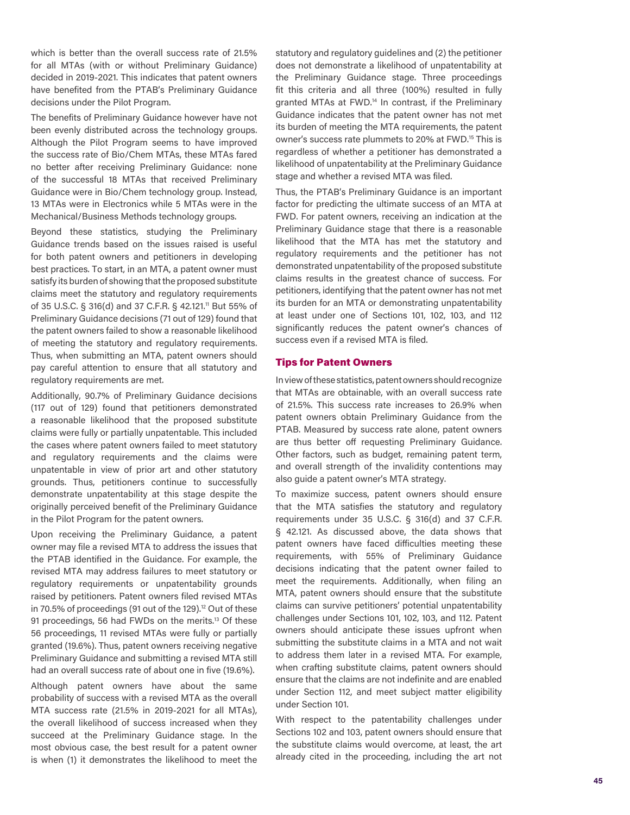which is better than the overall success rate of 21.5% for all MTAs (with or without Preliminary Guidance) decided in 2019-2021. This indicates that patent owners have benefited from the PTAB's Preliminary Guidance decisions under the Pilot Program.

The benefits of Preliminary Guidance however have not been evenly distributed across the technology groups. Although the Pilot Program seems to have improved the success rate of Bio/Chem MTAs, these MTAs fared no better after receiving Preliminary Guidance: none of the successful 18 MTAs that received Preliminary Guidance were in Bio/Chem technology group. Instead, 13 MTAs were in Electronics while 5 MTAs were in the Mechanical/Business Methods technology groups.

Beyond these statistics, studying the Preliminary Guidance trends based on the issues raised is useful for both patent owners and petitioners in developing best practices. To start, in an MTA, a patent owner must satisfy its burden of showing that the proposed substitute claims meet the statutory and regulatory requirements of 35 U.S.C. § 316(d) and 37 C.F.R. § 42.121.11 But 55% of Preliminary Guidance decisions (71 out of 129) found that the patent owners failed to show a reasonable likelihood of meeting the statutory and regulatory requirements. Thus, when submitting an MTA, patent owners should pay careful attention to ensure that all statutory and regulatory requirements are met.

Additionally, 90.7% of Preliminary Guidance decisions (117 out of 129) found that petitioners demonstrated a reasonable likelihood that the proposed substitute claims were fully or partially unpatentable. This included the cases where patent owners failed to meet statutory and regulatory requirements and the claims were unpatentable in view of prior art and other statutory grounds. Thus, petitioners continue to successfully demonstrate unpatentability at this stage despite the originally perceived benefit of the Preliminary Guidance in the Pilot Program for the patent owners.

Upon receiving the Preliminary Guidance, a patent owner may file a revised MTA to address the issues that the PTAB identified in the Guidance. For example, the revised MTA may address failures to meet statutory or regulatory requirements or unpatentability grounds raised by petitioners. Patent owners filed revised MTAs in 70.5% of proceedings (91 out of the 129).<sup>12</sup> Out of these 91 proceedings, 56 had FWDs on the merits.<sup>13</sup> Of these 56 proceedings, 11 revised MTAs were fully or partially granted (19.6%). Thus, patent owners receiving negative Preliminary Guidance and submitting a revised MTA still had an overall success rate of about one in five (19.6%).

Although patent owners have about the same probability of success with a revised MTA as the overall MTA success rate (21.5% in 2019-2021 for all MTAs), the overall likelihood of success increased when they succeed at the Preliminary Guidance stage. In the most obvious case, the best result for a patent owner is when (1) it demonstrates the likelihood to meet the statutory and regulatory guidelines and (2) the petitioner does not demonstrate a likelihood of unpatentability at the Preliminary Guidance stage. Three proceedings fit this criteria and all three (100%) resulted in fully granted MTAs at FWD.<sup>14</sup> In contrast, if the Preliminary Guidance indicates that the patent owner has not met its burden of meeting the MTA requirements, the patent owner's success rate plummets to 20% at FWD.15 This is regardless of whether a petitioner has demonstrated a likelihood of unpatentability at the Preliminary Guidance stage and whether a revised MTA was filed.

Thus, the PTAB's Preliminary Guidance is an important factor for predicting the ultimate success of an MTA at FWD. For patent owners, receiving an indication at the Preliminary Guidance stage that there is a reasonable likelihood that the MTA has met the statutory and regulatory requirements and the petitioner has not demonstrated unpatentability of the proposed substitute claims results in the greatest chance of success. For petitioners, identifying that the patent owner has not met its burden for an MTA or demonstrating unpatentability at least under one of Sections 101, 102, 103, and 112 significantly reduces the patent owner's chances of success even if a revised MTA is filed.

### Tips for Patent Owners

In view of these statistics, patent owners should recognize that MTAs are obtainable, with an overall success rate of 21.5%. This success rate increases to 26.9% when patent owners obtain Preliminary Guidance from the PTAB. Measured by success rate alone, patent owners are thus better off requesting Preliminary Guidance. Other factors, such as budget, remaining patent term, and overall strength of the invalidity contentions may also guide a patent owner's MTA strategy.

To maximize success, patent owners should ensure that the MTA satisfies the statutory and regulatory requirements under 35 U.S.C. § 316(d) and 37 C.F.R. § 42.121. As discussed above, the data shows that patent owners have faced difficulties meeting these requirements, with 55% of Preliminary Guidance decisions indicating that the patent owner failed to meet the requirements. Additionally, when filing an MTA, patent owners should ensure that the substitute claims can survive petitioners' potential unpatentability challenges under Sections 101, 102, 103, and 112. Patent owners should anticipate these issues upfront when submitting the substitute claims in a MTA and not wait to address them later in a revised MTA. For example, when crafting substitute claims, patent owners should ensure that the claims are not indefinite and are enabled under Section 112, and meet subject matter eligibility under Section 101.

With respect to the patentability challenges under Sections 102 and 103, patent owners should ensure that the substitute claims would overcome, at least, the art already cited in the proceeding, including the art not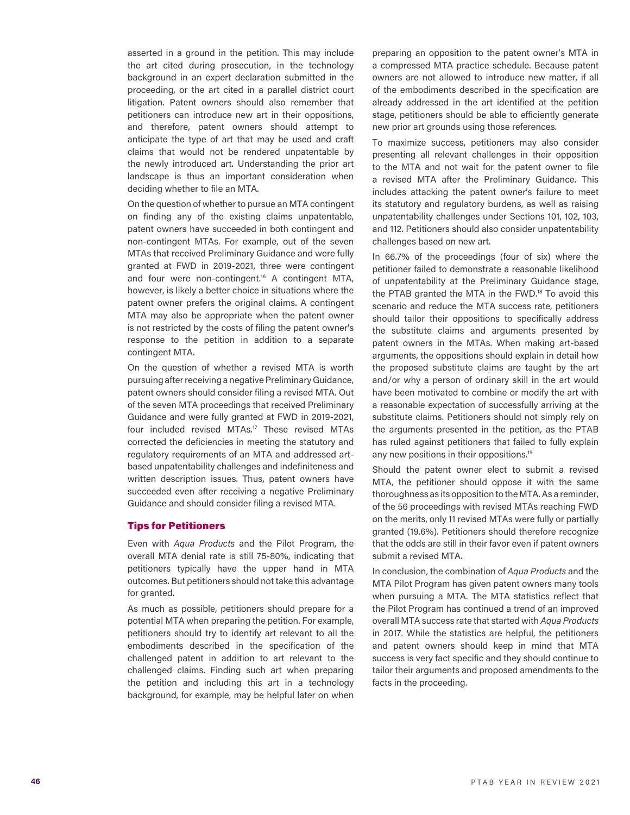asserted in a ground in the petition. This may include the art cited during prosecution, in the technology background in an expert declaration submitted in the proceeding, or the art cited in a parallel district court litigation. Patent owners should also remember that petitioners can introduce new art in their oppositions, and therefore, patent owners should attempt to anticipate the type of art that may be used and craft claims that would not be rendered unpatentable by the newly introduced art. Understanding the prior art landscape is thus an important consideration when deciding whether to file an MTA.

On the question of whether to pursue an MTA contingent on finding any of the existing claims unpatentable, patent owners have succeeded in both contingent and non-contingent MTAs. For example, out of the seven MTAs that received Preliminary Guidance and were fully granted at FWD in 2019-2021, three were contingent and four were non-contingent.<sup>16</sup> A contingent MTA, however, is likely a better choice in situations where the patent owner prefers the original claims. A contingent MTA may also be appropriate when the patent owner is not restricted by the costs of filing the patent owner's response to the petition in addition to a separate contingent MTA.

On the question of whether a revised MTA is worth pursuing after receiving a negative Preliminary Guidance, patent owners should consider filing a revised MTA. Out of the seven MTA proceedings that received Preliminary Guidance and were fully granted at FWD in 2019-2021, four included revised MTAs.17 These revised MTAs corrected the deficiencies in meeting the statutory and regulatory requirements of an MTA and addressed artbased unpatentability challenges and indefiniteness and written description issues. Thus, patent owners have succeeded even after receiving a negative Preliminary Guidance and should consider filing a revised MTA.

#### Tips for Petitioners

Even with *Aqua Products* and the Pilot Program, the overall MTA denial rate is still 75-80%, indicating that petitioners typically have the upper hand in MTA outcomes. But petitioners should not take this advantage for granted.

As much as possible, petitioners should prepare for a potential MTA when preparing the petition. For example, petitioners should try to identify art relevant to all the embodiments described in the specification of the challenged patent in addition to art relevant to the challenged claims. Finding such art when preparing the petition and including this art in a technology background, for example, may be helpful later on when

preparing an opposition to the patent owner's MTA in a compressed MTA practice schedule. Because patent owners are not allowed to introduce new matter, if all of the embodiments described in the specification are already addressed in the art identified at the petition stage, petitioners should be able to efficiently generate new prior art grounds using those references.

To maximize success, petitioners may also consider presenting all relevant challenges in their opposition to the MTA and not wait for the patent owner to file a revised MTA after the Preliminary Guidance. This includes attacking the patent owner's failure to meet its statutory and regulatory burdens, as well as raising unpatentability challenges under Sections 101, 102, 103, and 112. Petitioners should also consider unpatentability challenges based on new art.

In 66.7% of the proceedings (four of six) where the petitioner failed to demonstrate a reasonable likelihood of unpatentability at the Preliminary Guidance stage, the PTAB granted the MTA in the FWD.18 To avoid this scenario and reduce the MTA success rate, petitioners should tailor their oppositions to specifically address the substitute claims and arguments presented by patent owners in the MTAs. When making art-based arguments, the oppositions should explain in detail how the proposed substitute claims are taught by the art and/or why a person of ordinary skill in the art would have been motivated to combine or modify the art with a reasonable expectation of successfully arriving at the substitute claims. Petitioners should not simply rely on the arguments presented in the petition, as the PTAB has ruled against petitioners that failed to fully explain any new positions in their oppositions.19

Should the patent owner elect to submit a revised MTA, the petitioner should oppose it with the same thoroughness as its opposition to the MTA. As a reminder, of the 56 proceedings with revised MTAs reaching FWD on the merits, only 11 revised MTAs were fully or partially granted (19.6%). Petitioners should therefore recognize that the odds are still in their favor even if patent owners submit a revised MTA.

In conclusion, the combination of *Aqua Products* and the MTA Pilot Program has given patent owners many tools when pursuing a MTA. The MTA statistics reflect that the Pilot Program has continued a trend of an improved overall MTA success rate that started with *Aqua Products* in 2017. While the statistics are helpful, the petitioners and patent owners should keep in mind that MTA success is very fact specific and they should continue to tailor their arguments and proposed amendments to the facts in the proceeding.